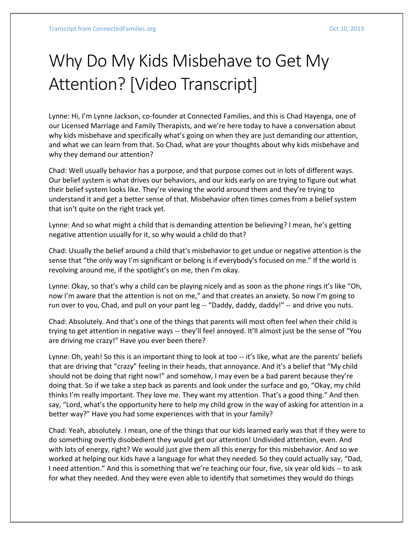## Why Do My Kids Misbehave to Get My Attention? [Video Transcript]

Lynne: Hi, I'm Lynne Jackson, co-founder at Connected Families, and this is Chad Hayenga, one of our Licensed Marriage and Family Therapists, and we're here today to have a conversation about why kids misbehave and specifically what's going on when they are just demanding our attention, and what we can learn from that. So Chad, what are your thoughts about why kids misbehave and why they demand our attention?

Chad: Well usually behavior has a purpose, and that purpose comes out in lots of different ways. Our belief system is what drives our behaviors, and our kids early on are trying to figure out what their belief system looks like. They're viewing the world around them and they're trying to understand it and get a better sense of that. Misbehavior often times comes from a belief system that isn't quite on the right track yet.

Lynne: And so what might a child that is demanding attention be believing? I mean, he's getting negative attention usually for it, so why would a child do that?

Chad: Usually the belief around a child that's misbehavior to get undue or negative attention is the sense that "the only way I'm significant or belong is if everybody's focused on me." If the world is revolving around me, if the spotlight's on me, then I'm okay.

Lynne: Okay, so that's why a child can be playing nicely and as soon as the phone rings it's like "Oh, now I'm aware that the attention is not on me," and that creates an anxiety. So now I'm going to run over to you, Chad, and pull on your pant leg -- "Daddy, daddy, daddy!" -- and drive you nuts.

Chad: Absolutely. And that's one of the things that parents will most often feel when their child is trying to get attention in negative ways -- they'll feel annoyed. It'll almost just be the sense of "You are driving me crazy!" Have you ever been there?

Lynne: Oh, yeah! So this is an important thing to look at too -- it's like, what are the parents' beliefs that are driving that "crazy" feeling in their heads, that annoyance. And it's a belief that "My child should not be doing that right now!" and somehow, I may even be a bad parent because they're doing that. So if we take a step back as parents and look under the surface and go, "Okay, my child thinks I'm really important. They love me. They want my attention. That's a good thing." And then say, "Lord, what's the opportunity here to help my child grow in the way of asking for attention in a better way?" Have you had some experiences with that in your family?

Chad: Yeah, absolutely. I mean, one of the things that our kids learned early was that if they were to do something overtly disobedient they would get our attention! Undivided attention, even. And with lots of energy, right? We would just give them all this energy for this misbehavior. And so we worked at helping our kids have a language for what they needed. So they could actually say, "Dad, I need attention." And this is something that we're teaching our four, five, six year old kids -- to ask for what they needed. And they were even able to identify that sometimes they would do things